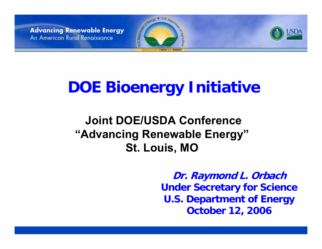



# **DOE Bioenergy Initiative**

### **Joint DOE/USDA Conference"Advancing Renewable Energy" St. Louis, MO**

**Dr. Raymond L. Orbach Under Secretary for Science U.S. Department of Energy October 12, 2006**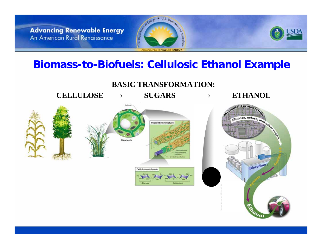

#### **Biomass-to-Biofuels: Cellulosic Ethanol Example**

**BASIC TRANSFORMATION:**

**→**

**CELLULO S E**







Slucose, xylose, and only Biorefiner

**ETHANOL**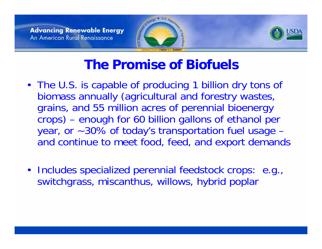





# **The Promise of Biofuels**

- The U.S. is capable of producing 1 billion dry tons of biomass annually (agricultural and forestry wastes, grains, and 55 million acres of perennial bioenergy crops) – enough for 60 billion gallons of ethanol per year, or ~30% of today's transportation fuel usage – and continue to meet food, feed, and export demands
- Includes specialized perennial feedstock crops: e.g., switchgrass, miscanthus, willows, hybrid poplar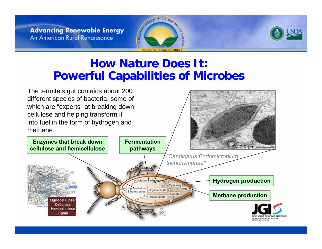



#### **How Nature Does It:Powerful Capabilities of Microbes**

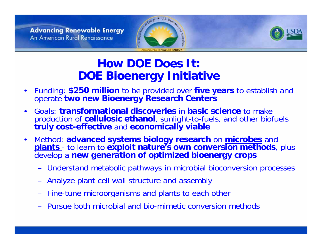



### **How DOE Does It:DOE Bioenergy Initiative**

- $\bullet$  Funding: **\$250 million** to be provided over **five years** to establish and operate **two new Bioenergy Research Center s**
- • Goals: **transformational discoveries** in **basic s cience** to make production of **cellul osic ethanol**, sunlight-to-fuels, and other biofuels **truly cost-effective** and **economically viable**
- $\bullet$  M eth o d: **adv anced systems biology research** on **microbes** and **plants** - to learn to exploit nature's own conversion methods, plus develop a **new generation of optimized bioener gy crops**
	- Understand metabolic pathways in microbial bioconversion processes
	- Analyze plant cell wall structure and a ssembly
	- Fine-tune microorganisms and plants to each other
	- Pursue both microbial and bio-mimetic conversion methods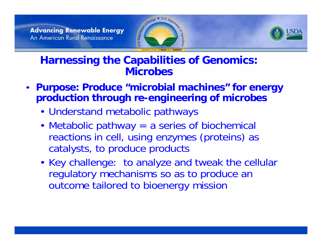



#### **Harnessing the Capabilities of Genomics: Microbes**

- **Purpose: Produce "microbial machines" for energy production through re-engineering of microbes**
	- Understand metabolic pathways
	- Metabolic pathway = a series of biochemical reactions in cell, using enzymes (proteins) as catalysts, to produce products
	- Key challenge: to analyze and tweak the cellular regulatory mechanisms so as to produce an outcome tailored to bioenergy mission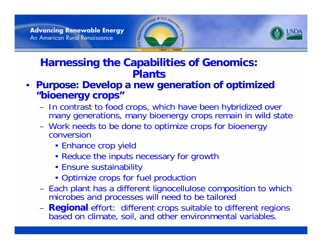



#### **Harnessing the Capabilities of Genomics: Plants**

- **Purpose: Develop a new generation of optimized "bioenergy crops"**
	- In contrast to food crops, which have been hybridized over many generations, many bioenergy crops remain in wild state
	- Work needs to be done to optimize crops for bioenergy conversion
		- Enhance crop yield
		- Reduce the inputs necessary for growth
		- Ensure sustainability
		- Optimize crops for fuel production
	- Each plant has a different lignocellulose composition to which microbes and processes will need to be tailored
	- **Regional** effort: different crops suitable to different regions based on climate, soil, and other environmental variables.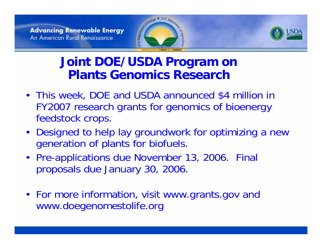



## **Joint DOE/USDA Program on Plants Genomics Research**

- This week, DOE and USDA announced \$4 million in FY2007 research grants for genomics of bioenergy feedstock crops.
- Designed to help lay groundwork for optimizing a new generation of plants for biofuels.
- Pre-applications due November 13, 2006. Final proposals due January 30, 2006.
- For more information, visit www.grants.gov and www.doegenomestolife.org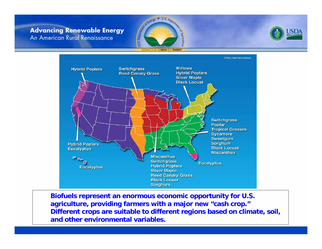



ADVANCING RENEWABLE ENERGY



**Biofuels represent an enormous economic opportunity for U.S. agriculture, providing farmers with a major new "cash crop." Different crops are suitable to different regions based on climate, soil, and other environmental variables.**